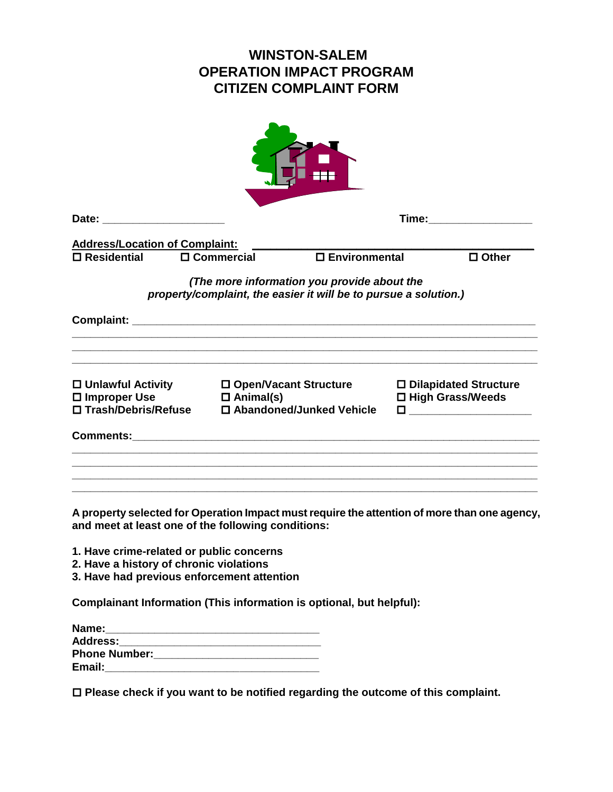## **WINSTON-SALEM OPERATION IMPACT PROGRAM CITIZEN COMPLAINT FORM**

| Date: the contract of the contract of the contract of the contract of the contract of the contract of the contract of the contract of the contract of the contract of the contract of the contract of the contract of the cont |                                                                                                                 | Time:           |                                               |  |  |  |
|--------------------------------------------------------------------------------------------------------------------------------------------------------------------------------------------------------------------------------|-----------------------------------------------------------------------------------------------------------------|-----------------|-----------------------------------------------|--|--|--|
| <b>Address/Location of Complaint:</b>                                                                                                                                                                                          |                                                                                                                 |                 |                                               |  |  |  |
| $\square$ Residential                                                                                                                                                                                                          | $\square$ Commercial                                                                                            | □ Environmental | $\Box$ Other                                  |  |  |  |
|                                                                                                                                                                                                                                | (The more information you provide about the<br>property/complaint, the easier it will be to pursue a solution.) |                 |                                               |  |  |  |
|                                                                                                                                                                                                                                |                                                                                                                 |                 |                                               |  |  |  |
| $\square$ Unlawful Activity<br>$\square$ Improper Use $\square$ Animal(s)<br>□ Trash/Debris/Refuse                                                                                                                             | 口 Open/Vacant Structure<br>□ Abandoned/Junked Vehicle                                                           |                 | □ Dilapidated Structure<br>□ High Grass/Weeds |  |  |  |
|                                                                                                                                                                                                                                |                                                                                                                 |                 |                                               |  |  |  |
| and meet at least one of the following conditions:                                                                                                                                                                             | A property selected for Operation Impact must require the attention of more than one agency,                    |                 |                                               |  |  |  |
| 1. Have crime-related or public concerns<br>2. Have a history of chronic violations<br>3. Have had previous enforcement attention                                                                                              |                                                                                                                 |                 |                                               |  |  |  |
| Complainant Information (This information is optional, but helpful):                                                                                                                                                           |                                                                                                                 |                 |                                               |  |  |  |

| Name:                |  |
|----------------------|--|
| <b>Address:</b>      |  |
| <b>Phone Number:</b> |  |
| Email:               |  |

**Please check if you want to be notified regarding the outcome of this complaint.**